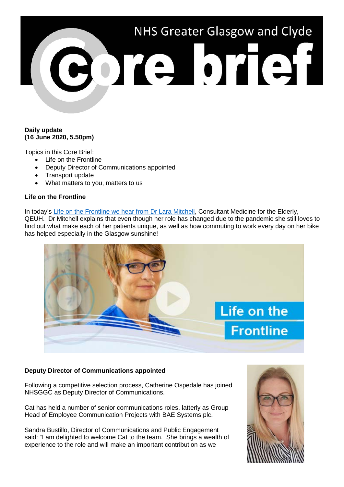# NHS Greater Glasgow and Clyde CORE STEP

## **Daily update (16 June 2020, 5.50pm)**

Topics in this Core Brief:

- Life on the Frontline
- Deputy Director of Communications appointed
- Transport update
- What matters to you, matters to us

# **Life on the Frontline**

In today's [Life on the Frontline we hear from Dr Lara Mitchell,](https://www.youtube.com/watch?v=xYnROUGIKh4) Consultant Medicine for the Elderly, QEUH. Dr Mitchell explains that even though her role has changed due to the pandemic she still loves to find out what make each of her patients unique, as well as how commuting to work every day on her bike has helped especially in the Glasgow sunshine!



# **Deputy Director of Communications appointed**

Following a competitive selection process, Catherine Ospedale has joined NHSGGC as Deputy Director of Communications.

Cat has held a number of senior communications roles, latterly as Group Head of Employee Communication Projects with BAE Systems plc.

Sandra Bustillo, Director of Communications and Public Engagement said: "I am delighted to welcome Cat to the team. She brings a wealth of experience to the role and will make an important contribution as we